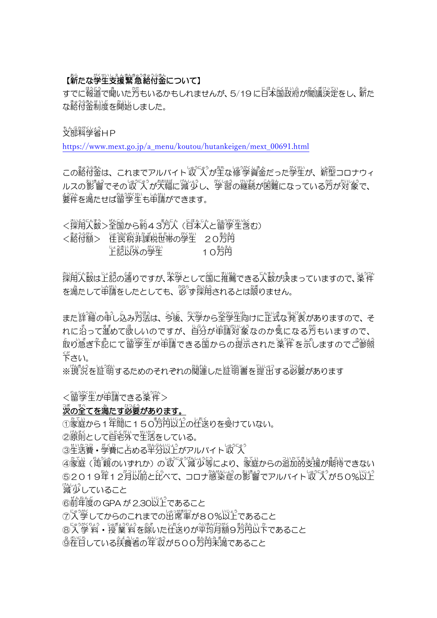# 【薪たな学生支援緊急給付金について】

すでに報道で聞いた芳もいるかもしれませんが、5/19 に日本国政府が閣議決定をし、薪た な豁符釜制度を開始しました。

もんぷがくいる。<br>文部科学省HP

[https://www.mext.go.jp/a\\_menu/koutou/hutankeigen/mext\\_00691.html](https://www.mext.go.jp/a_menu/koutou/hutankeigen/mext_00691.html)

この絡付金は、これまでアルバイト収し入が主な修学資金だった学生が、新型コロナウィ ルスの影響でその収 入が大幅に減少し、挙習の継続が困難になっている汚が対象で、 <u>-</u><br>要件を満たせば留学生も申請ができます。

<採用人数>全国から約43万人(日本人と留学生含む)

<豁然後> 陸民税非課税世帯の学生 2025円 - 『さんがい の学生  $10\overline{\mathrm{D}}$ 的

。<br>採用人数は上記の通りですが、本学として国に推薦できる人数が決まっていますので、条件 を満たして単譜をしたとしても、「恋」ず「<br>楽開されるとは限りません。

また詳細の量し込み方法は、今後、外勢から全学生向けに芷式な発表がありますので、そ れに沿って暹めて&しいのですが、自分が単講対象なのか気になる芳もいますので、 。<br>取り急ぎ下記にて留学生が単講できる国からの提示された案件を示しますのでご参照 下さい くだ 。

※現況を証明するためのそれぞれの関運した証明書を提出する必要があります

く留学生が申請できる条件>

# 。<br>**茨の全てを満たす必**要があります。

①家庭から1 年間に150万円以上の仕送りを受けていない。

②隙萴として自宅外で生活をしている。

③生活費・学費に占める半分以上がアルバイト収 入

④家庭(両親のいずれか)の収 入 減 少等により、 家庭からの追加的支援が期待できない ⑤2019年12月以前と比べて、コロナ懲染症の影響でアルバイト収 入が50%以上 。<br>減少していること

⑥前年度の GPA が 2.30以上であること

⑦入学してからのこれまでの出席率が80%以上であること

⑧入 学 料・授 業 料を除いた仕送りが平均月額9方円以下であること

◎詮目している扶養者の笙収が500労肖未満であること